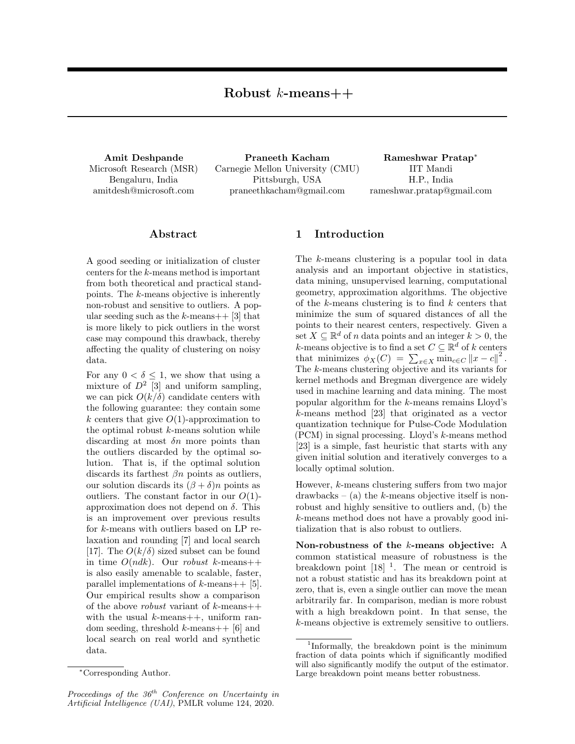Amit Deshpande Microsoft Research (MSR) Bengaluru, India amitdesh@microsoft.com

Praneeth Kacham Carnegie Mellon University (CMU) Pittsburgh, USA praneethkacham@gmail.com

Rameshwar Pratap<sup>∗</sup> IIT Mandi H.P., India rameshwar.pratap@gmail.com

## Abstract

A good seeding or initialization of cluster centers for the k-means method is important from both theoretical and practical standpoints. The k-means objective is inherently non-robust and sensitive to outliers. A popular seeding such as the k-means $++$  [3] that is more likely to pick outliers in the worst case may compound this drawback, thereby affecting the quality of clustering on noisy data.

For any  $0 < \delta \leq 1$ , we show that using a mixture of  $D^2$  [3] and uniform sampling, we can pick  $O(k/\delta)$  candidate centers with the following guarantee: they contain some k centers that give  $O(1)$ -approximation to the optimal robust  $k$ -means solution while discarding at most  $\delta n$  more points than the outliers discarded by the optimal solution. That is, if the optimal solution discards its farthest  $\beta n$  points as outliers, our solution discards its  $(\beta + \delta)n$  points as outliers. The constant factor in our  $O(1)$ approximation does not depend on  $\delta$ . This is an improvement over previous results for k-means with outliers based on LP relaxation and rounding [7] and local search [17]. The  $O(k/\delta)$  sized subset can be found in time  $O(ndk)$ . Our robust k-means++ is also easily amenable to scalable, faster, parallel implementations of  $k$ -means++ [5]. Our empirical results show a comparison of the above *robust* variant of  $k$ -means++ with the usual  $k$ -means++, uniform random seeding, threshold  $k$ -means++ [6] and local search on real world and synthetic data.

# 1 Introduction

The k-means clustering is a popular tool in data analysis and an important objective in statistics, data mining, unsupervised learning, computational geometry, approximation algorithms. The objective of the  $k$ -means clustering is to find  $k$  centers that minimize the sum of squared distances of all the points to their nearest centers, respectively. Given a set  $X \subseteq \mathbb{R}^d$  of n data points and an integer  $k > 0$ , the k-means objective is to find a set  $C \subseteq \mathbb{R}^d$  of k centers that minimizes  $\phi_X(C) = \sum_{x \in X} \min_{c \in C} ||x - c||^2$ . The k-means clustering objective and its variants for kernel methods and Bregman divergence are widely used in machine learning and data mining. The most popular algorithm for the k-means remains Lloyd's k-means method [23] that originated as a vector quantization technique for Pulse-Code Modulation (PCM) in signal processing. Lloyd's k-means method [23] is a simple, fast heuristic that starts with any given initial solution and iteratively converges to a locally optimal solution.

However, k-means clustering suffers from two major  $drawbacks - (a)$  the k-means objective itself is nonrobust and highly sensitive to outliers and, (b) the k-means method does not have a provably good initialization that is also robust to outliers.

Non-robustness of the k-means objective: A common statistical measure of robustness is the breakdown point  $[18]$ <sup>1</sup>. The mean or centroid is not a robust statistic and has its breakdown point at zero, that is, even a single outlier can move the mean arbitrarily far. In comparison, median is more robust with a high breakdown point. In that sense, the k-means objective is extremely sensitive to outliers.

<sup>∗</sup>Corresponding Author.

Proceedings of the  $36<sup>th</sup>$  Conference on Uncertainty in Artificial Intelligence (UAI), PMLR volume 124, 2020.

<sup>1</sup> Informally, the breakdown point is the minimum fraction of data points which if significantly modified will also significantly modify the output of the estimator. Large breakdown point means better robustness.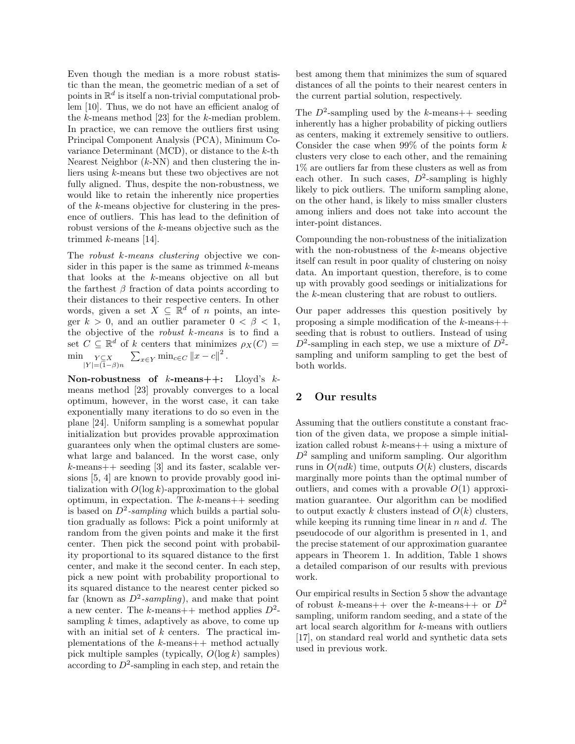Even though the median is a more robust statistic than the mean, the geometric median of a set of points in  $\mathbb{R}^d$  is itself a non-trivial computational problem [10]. Thus, we do not have an efficient analog of the k-means method [23] for the k-median problem. In practice, we can remove the outliers first using Principal Component Analysis (PCA), Minimum Covariance Determinant (MCD), or distance to the  $k$ -th Nearest Neighbor  $(k-NN)$  and then clustering the inliers using k-means but these two objectives are not fully aligned. Thus, despite the non-robustness, we would like to retain the inherently nice properties of the k-means objective for clustering in the presence of outliers. This has lead to the definition of robust versions of the k-means objective such as the trimmed k-means [14].

The *robust k-means clustering* objective we consider in this paper is the same as trimmed  $k$ -means that looks at the k-means objective on all but the farthest  $\beta$  fraction of data points according to their distances to their respective centers. In other words, given a set  $X \subseteq \mathbb{R}^d$  of *n* points, an integer  $k > 0$ , and an outlier parameter  $0 < \beta < 1$ , the objective of the robust k-means is to find a set  $C \subseteq \mathbb{R}^d$  of k centers that minimizes  $\rho_X(C) =$  $\min_{\substack{Y \subseteq X \\ |Y| = (1-\beta)n}}$  $\sum_{x \in Y} \min_{c \in C} ||x - c||^2$ .

Non-robustness of  $k$ -means++: Lloyd's  $k$ means method [23] provably converges to a local optimum, however, in the worst case, it can take exponentially many iterations to do so even in the plane [24]. Uniform sampling is a somewhat popular initialization but provides provable approximation guarantees only when the optimal clusters are somewhat large and balanced. In the worst case, only  $k$ -means++ seeding [3] and its faster, scalable versions [5, 4] are known to provide provably good initialization with  $O(\log k)$ -approximation to the global optimum, in expectation. The  $k$ -means++ seeding is based on  $D^2$ -sampling which builds a partial solution gradually as follows: Pick a point uniformly at random from the given points and make it the first center. Then pick the second point with probability proportional to its squared distance to the first center, and make it the second center. In each step, pick a new point with probability proportional to its squared distance to the nearest center picked so far (known as  $D^2$ -sampling), and make that point a new center. The k-means++ method applies  $D^2$ sampling  $k$  times, adaptively as above, to come up with an initial set of  $k$  centers. The practical implementations of the  $k$ -means++ method actually pick multiple samples (typically,  $O(\log k)$  samples) according to  $D^2$ -sampling in each step, and retain the

best among them that minimizes the sum of squared distances of all the points to their nearest centers in the current partial solution, respectively.

The  $D^2$ -sampling used by the k-means++ seeding inherently has a higher probability of picking outliers as centers, making it extremely sensitive to outliers. Consider the case when  $99\%$  of the points form  $k$ clusters very close to each other, and the remaining 1% are outliers far from these clusters as well as from each other. In such cases,  $D^2$ -sampling is highly likely to pick outliers. The uniform sampling alone, on the other hand, is likely to miss smaller clusters among inliers and does not take into account the inter-point distances.

Compounding the non-robustness of the initialization with the non-robustness of the k-means objective itself can result in poor quality of clustering on noisy data. An important question, therefore, is to come up with provably good seedings or initializations for the k-mean clustering that are robust to outliers.

Our paper addresses this question positively by proposing a simple modification of the  $k$ -means++ seeding that is robust to outliers. Instead of using  $D^2$ -sampling in each step, we use a mixture of  $D^2$ sampling and uniform sampling to get the best of both worlds.

## 2 Our results

Assuming that the outliers constitute a constant fraction of the given data, we propose a simple initialization called robust  $k$ -means  $++$  using a mixture of  $D^2$  sampling and uniform sampling. Our algorithm runs in  $O(ndk)$  time, outputs  $O(k)$  clusters, discards marginally more points than the optimal number of outliers, and comes with a provable  $O(1)$  approximation guarantee. Our algorithm can be modified to output exactly k clusters instead of  $O(k)$  clusters, while keeping its running time linear in  $n$  and  $d$ . The pseudocode of our algorithm is presented in 1, and the precise statement of our approximation guarantee appears in Theorem 1. In addition, Table 1 shows a detailed comparison of our results with previous work.

Our empirical results in Section 5 show the advantage of robust k-means++ over the k-means++ or  $D^2$ sampling, uniform random seeding, and a state of the art local search algorithm for k-means with outliers [17], on standard real world and synthetic data sets used in previous work.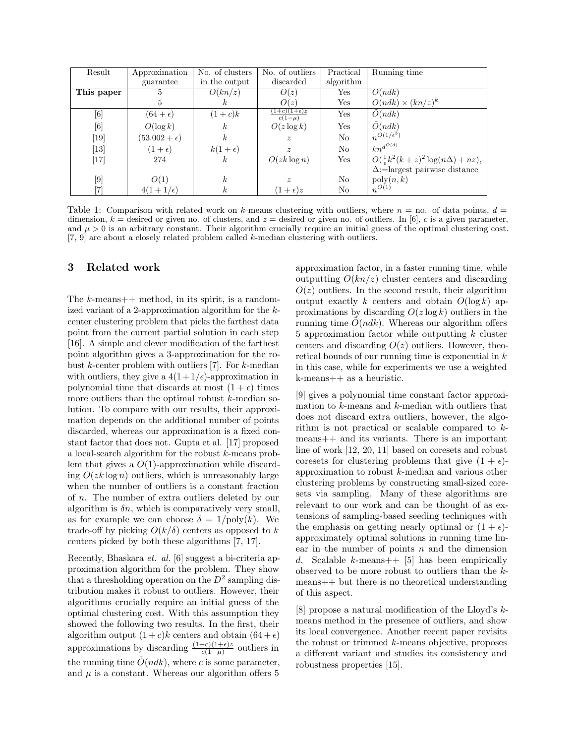| Result                                                                                                                                                                                                                                                                                                                  | Approximation         | No. of clusters  | No. of outliers                               | Practical      | Running time                                       |
|-------------------------------------------------------------------------------------------------------------------------------------------------------------------------------------------------------------------------------------------------------------------------------------------------------------------------|-----------------------|------------------|-----------------------------------------------|----------------|----------------------------------------------------|
|                                                                                                                                                                                                                                                                                                                         | guarantee             | in the output    | discarded                                     | algorithm      |                                                    |
| This paper                                                                                                                                                                                                                                                                                                              | 5                     | O(kn/z)          | O(z)                                          | $_{\rm Yes}$   | O(ndk)                                             |
|                                                                                                                                                                                                                                                                                                                         | 5                     | $\kappa$         | O(z)                                          | $_{\rm Yes}$   | $O(ndk) \times (kn/z)^k$                           |
| $[6] % \includegraphics[width=0.9\columnwidth]{figures/fig_0.pdf} \caption{A small number of samples of the estimators in the left panel. The blue line shows the number of samples of the two different times, and the blue line shows the number of samples of the two different times, respectively.} \label{fig:2}$ | $(64 + \epsilon)$     | $(1+c)k$         | $(1+c)(1+\epsilon)z$<br>$\overline{c(1-\mu)}$ | Yes            | O(ndk)                                             |
| [6]                                                                                                                                                                                                                                                                                                                     | $O(\log k)$           | $\boldsymbol{k}$ | $O(z \log k)$                                 | Yes            | $\tilde{O}(ndk)$                                   |
| $\left[19\right]$                                                                                                                                                                                                                                                                                                       | $(53.002 + \epsilon)$ | k <sub>i</sub>   | $\boldsymbol{z}$                              | N <sub>o</sub> | $n^{O(1/\epsilon^3)}$                              |
| $\left\lceil 13 \right\rceil$                                                                                                                                                                                                                                                                                           | $(1+\epsilon)$        | $k(1+\epsilon)$  | $\tilde{z}$                                   | N <sub>o</sub> | $+ kn^{d^{O(d)}}$                                  |
| [17]                                                                                                                                                                                                                                                                                                                    | 274                   | k <sub>i</sub>   | $O(zk \log n)$                                | Yes            | $O(\frac{1}{\epsilon}k^2(k+z)^2\log(n\Delta)+nz),$ |
|                                                                                                                                                                                                                                                                                                                         |                       |                  |                                               |                | $\Delta$ :=largest pairwise distance               |
| $[9] % \begin{center} \includegraphics[width=\linewidth]{images/Transr1.pdf} \end{center} % \vspace{-1em} \caption{The image shows the number of observations in the left and right.} \label{fig:class} %$                                                                                                              | O(1)                  | $\boldsymbol{k}$ | $\boldsymbol{z}$                              | N <sub>o</sub> | $\mathrm{poly}(n,k)$                               |
|                                                                                                                                                                                                                                                                                                                         | $4(1+1/\epsilon)$     | $\boldsymbol{k}$ | $(1+\epsilon)z$                               | No             | $n^{O(1)}$                                         |

Table 1: Comparison with related work on k-means clustering with outliers, where  $n =$  no. of data points,  $d =$ dimension,  $k =$  desired or given no. of clusters, and  $z =$  desired or given no. of outliers. In [6], c is a given parameter, and  $\mu > 0$  is an arbitrary constant. Their algorithm crucially require an initial guess of the optimal clustering cost. [7, 9] are about a closely related problem called k-median clustering with outliers.

### 3 Related work

The  $k$ -means  $++$  method, in its spirit, is a randomized variant of a 2-approximation algorithm for the kcenter clustering problem that picks the farthest data point from the current partial solution in each step [16]. A simple and clever modification of the farthest point algorithm gives a 3-approximation for the robust  $k$ -center problem with outliers [7]. For  $k$ -median with outliers, they give a  $4(1+1/\epsilon)$ -approximation in polynomial time that discards at most  $(1 + \epsilon)$  times more outliers than the optimal robust k-median solution. To compare with our results, their approximation depends on the additional number of points discarded, whereas our approximation is a fixed constant factor that does not. Gupta et al. [17] proposed a local-search algorithm for the robust k-means problem that gives a  $O(1)$ -approximation while discarding  $O(zk \log n)$  outliers, which is unreasonably large when the number of outliers is a constant fraction of n. The number of extra outliers deleted by our algorithm is  $\delta n$ , which is comparatively very small, as for example we can choose  $\delta = 1/\text{poly}(k)$ . We trade-off by picking  $O(k/\delta)$  centers as opposed to k centers picked by both these algorithms [7, 17].

Recently, Bhaskara et. al. [6] suggest a bi-criteria approximation algorithm for the problem. They show that a thresholding operation on the  $D^2$  sampling distribution makes it robust to outliers. However, their algorithms crucially require an initial guess of the optimal clustering cost. With this assumption they showed the following two results. In the first, their algorithm output  $(1+c)k$  centers and obtain  $(64 + \epsilon)$ approximations by discarding  $\frac{(1+c)(1+\epsilon)z}{c(1-\mu)}$  outliers in the running time  $\tilde{O}(ndk)$ , where c is some parameter, and  $\mu$  is a constant. Whereas our algorithm offers 5

approximation factor, in a faster running time, while outputting  $O(kn/z)$  cluster centers and discarding  $O(z)$  outliers. In the second result, their algorithm output exactly k centers and obtain  $O(\log k)$  approximations by discarding  $O(z \log k)$  outliers in the running time  $O(ndk)$ . Whereas our algorithm offers 5 approximation factor while outputting  $k$  cluster centers and discarding  $O(z)$  outliers. However, theoretical bounds of our running time is exponential in  $k$ in this case, while for experiments we use a weighted k-means++ as a heuristic.

[9] gives a polynomial time constant factor approximation to k-means and k-median with outliers that does not discard extra outliers, however, the algorithm is not practical or scalable compared to kmeans++ and its variants. There is an important line of work [12, 20, 11] based on coresets and robust coresets for clustering problems that give  $(1 + \epsilon)$ approximation to robust k-median and various other clustering problems by constructing small-sized coresets via sampling. Many of these algorithms are relevant to our work and can be thought of as extensions of sampling-based seeding techniques with the emphasis on getting nearly optimal or  $(1 + \epsilon)$ approximately optimal solutions in running time linear in the number of points  $n$  and the dimension d. Scalable k-means  $+$  [5] has been empirically observed to be more robust to outliers than the kmeans++ but there is no theoretical understanding of this aspect.

[8] propose a natural modification of the Lloyd's kmeans method in the presence of outliers, and show its local convergence. Another recent paper revisits the robust or trimmed k-means objective, proposes a different variant and studies its consistency and robustness properties [15].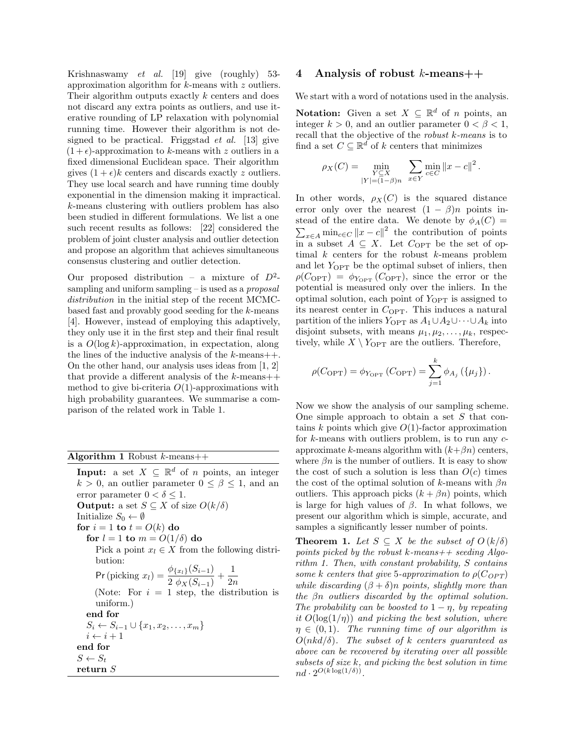Krishnaswamy et al. [19] give (roughly) 53 approximation algorithm for k-means with z outliers. Their algorithm outputs exactly k centers and does not discard any extra points as outliers, and use iterative rounding of LP relaxation with polynomial running time. However their algorithm is not designed to be practical. Friggstad  $et \ al.$  [13] give  $(1 + \epsilon)$ -approximation to k-means with z outliers in a fixed dimensional Euclidean space. Their algorithm gives  $(1 + \epsilon)k$  centers and discards exactly z outliers. They use local search and have running time doubly exponential in the dimension making it impractical. k-means clustering with outliers problem has also been studied in different formulations. We list a one such recent results as follows: [22] considered the problem of joint cluster analysis and outlier detection and propose an algorithm that achieves simultaneous consensus clustering and outlier detection.

Our proposed distribution – a mixture of  $D^2$ sampling and uniform sampling  $-$  is used as a *proposal* distribution in the initial step of the recent MCMCbased fast and provably good seeding for the  $k$ -means [4]. However, instead of employing this adaptively, they only use it in the first step and their final result is a  $O(\log k)$ -approximation, in expectation, along the lines of the inductive analysis of the  $k$ -means++. On the other hand, our analysis uses ideas from [1, 2] that provide a different analysis of the  $k$ -means++ method to give bi-criteria  $O(1)$ -approximations with high probability guarantees. We summarise a comparison of the related work in Table 1.

#### Algorithm 1 Robust  $k$ -means++

**Input:** a set  $X \subseteq \mathbb{R}^d$  of *n* points, an integer  $k > 0$ , an outlier parameter  $0 \leq \beta \leq 1$ , and an error parameter  $0 < \delta \leq 1$ . **Output:** a set  $S \subseteq X$  of size  $O(k/\delta)$ Initialize  $S_0 \leftarrow \emptyset$ for  $i = 1$  to  $t = O(k)$  do for  $l = 1$  to  $m = O(1/\delta)$  do Pick a point  $x_l \in X$  from the following distribution: Pr (picking  $x_l$ ) =  $\frac{\phi_{\{x_l\}}(S_{i-1})}{2 \phi_X(S_{i-1})} + \frac{1}{2n}$  $2n$ (Note: For  $i = 1$  step, the distribution is uniform.) end for  $S_i \leftarrow S_{i-1} \cup \{x_1, x_2, \ldots, x_m\}$  $i \leftarrow i + 1$ end for  $S \leftarrow S_t$ return S

### 4 Analysis of robust  $k$ -means++

We start with a word of notations used in the analysis.

**Notation:** Given a set  $X \subseteq \mathbb{R}^d$  of *n* points, an integer  $k > 0$ , and an outlier parameter  $0 < \beta < 1$ , recall that the objective of the robust k-means is to find a set  $C \subseteq \mathbb{R}^d$  of k centers that minimizes

$$
\rho_X(C) = \min_{\substack{Y \subseteq X \\ |Y| = (1 - \beta)n}} \sum_{x \in Y} \min_{c \in C} ||x - c||^2.
$$

In other words,  $\rho_X(C)$  is the squared distance error only over the nearest  $(1 - \beta)n$  points instead of the entire data. We denote by  $\phi_A(C)$  =  $\sum_{x \in A} \min_{c \in C} ||x - c||^2$  the contribution of points in a subset  $A \subseteq X$ . Let  $C_{\text{OPT}}$  be the set of optimal  $k$  centers for the robust  $k$ -means problem and let  $Y_{\text{OPT}}$  be the optimal subset of inliers, then  $\rho(C_{\text{OPT}}) = \phi_{Y_{\text{OPT}}} (C_{\text{OPT}})$ , since the error or the potential is measured only over the inliers. In the optimal solution, each point of  $Y_{\text{OPT}}$  is assigned to its nearest center in  $C_{\text{OPT}}$ . This induces a natural partition of the inliers  $Y_{\text{OPT}}$  as  $A_1 \cup A_2 \cup \cdots \cup A_k$  into disjoint subsets, with means  $\mu_1, \mu_2, \ldots, \mu_k$ , respectively, while  $X \setminus Y_{\text{OPT}}$  are the outliers. Therefore,

$$
\rho(C_{\text{OPT}}) = \phi_{Y_{\text{OPT}}} (C_{\text{OPT}}) = \sum_{j=1}^{k} \phi_{A_j} (\{\mu_j\}).
$$

Now we show the analysis of our sampling scheme. One simple approach to obtain a set  $S$  that contains k points which give  $O(1)$ -factor approximation for  $k$ -means with outliers problem, is to run any  $c$ approximate k-means algorithm with  $(k+\beta n)$  centers, where  $\beta n$  is the number of outliers. It is easy to show the cost of such a solution is less than  $O(c)$  times the cost of the optimal solution of k-means with  $\beta n$ outliers. This approach picks  $(k + \beta n)$  points, which is large for high values of  $\beta$ . In what follows, we present our algorithm which is simple, accurate, and samples a significantly lesser number of points.

**Theorem 1.** Let  $S \subseteq X$  be the subset of  $O(k/\delta)$ points picked by the robust k-means  $++$  seeding Algorithm 1. Then, with constant probability, S contains some k centers that give 5-approximation to  $\rho(C_{OPT})$ while discarding  $(\beta + \delta)n$  points, slightly more than the  $\beta$ n outliers discarded by the optimal solution. The probability can be boosted to  $1 - n$ , by repeating it  $O(\log(1/\eta))$  and picking the best solution, where  $\eta \in (0,1)$ . The running time of our algorithm is  $O(nkd/\delta)$ . The subset of k centers guaranteed as above can be recovered by iterating over all possible subsets of size  $k$ , and picking the best solution in time  $nd \cdot 2^{O(k \log(1/\delta))}.$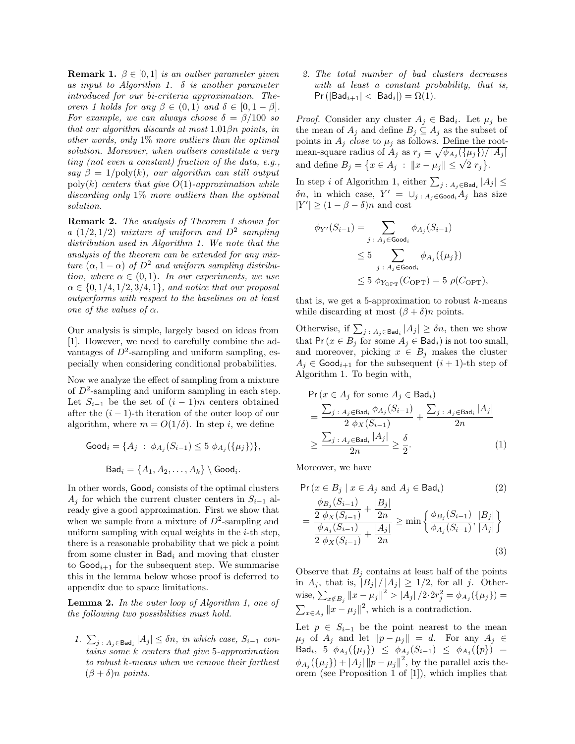**Remark 1.**  $\beta \in [0, 1]$  is an outlier parameter given as input to Algorithm 1.  $\delta$  is another parameter introduced for our bi-criteria approximation. Theorem 1 holds for any  $\beta \in (0,1)$  and  $\delta \in [0,1-\beta]$ . For example, we can always choose  $\delta = \beta/100$  so that our algorithm discards at most  $1.01\beta n$  points, in other words, only  $1\%$  more outliers than the optimal solution. Moreover, when outliers constitute a very tiny (not even a constant) fraction of the data, e.g., say  $\beta = 1/\text{poly}(k)$ , our algorithm can still output poly(k) centers that give  $O(1)$ -approximation while discarding only 1% more outliers than the optimal solution.

Remark 2. The analysis of Theorem 1 shown for a  $(1/2, 1/2)$  mixture of uniform and  $D^2$  sampling distribution used in Algorithm 1. We note that the analysis of the theorem can be extended for any mixture  $(\alpha, 1 - \alpha)$  of  $D^2$  and uniform sampling distribution, where  $\alpha \in (0,1)$ . In our experiments, we use  $\alpha \in \{0, 1/4, 1/2, 3/4, 1\}$ , and notice that our proposal outperforms with respect to the baselines on at least one of the values of  $\alpha$ .

Our analysis is simple, largely based on ideas from [1]. However, we need to carefully combine the advantages of  $D^2$ -sampling and uniform sampling, especially when considering conditional probabilities.

Now we analyze the effect of sampling from a mixture of  $D^2$ -sampling and uniform sampling in each step. Let  $S_{i-1}$  be the set of  $(i-1)m$  centers obtained after the  $(i - 1)$ -th iteration of the outer loop of our algorithm, where  $m = O(1/\delta)$ . In step i, we define

Good<sub>i</sub> = {
$$
A_j
$$
 :  $\phi_{A_j}(S_{i-1}) \le 5 \phi_{A_j}(\{\mu_j\})$ },  
Bad<sub>i</sub> = { $A_1, A_2, ..., A_k$ } \ Good<sub>i</sub>.

In other words,  $Good<sub>i</sub>$  consists of the optimal clusters  $A_i$  for which the current cluster centers in  $S_{i-1}$  already give a good approximation. First we show that when we sample from a mixture of  $D^2$ -sampling and uniform sampling with equal weights in the  $i$ -th step, there is a reasonable probability that we pick a point from some cluster in  $\mathsf{Bad}_i$  and moving that cluster to  $\text{Good}_{i+1}$  for the subsequent step. We summarise this in the lemma below whose proof is deferred to appendix due to space limitations.

Lemma 2. In the outer loop of Algorithm 1, one of the following two possibilities must hold.

1.  $\sum_{j \,:\, A_j \in \text{Bad}_i} |A_j| \leq \delta n$ , in which case,  $S_{i-1}$  contains some k centers that give 5-approximation to robust k-means when we remove their farthest  $(\beta + \delta)n$  points.

2. The total number of bad clusters decreases with at least a constant probability, that is,  $\Pr\left(|\mathsf{Bad}_{i+1}| < |\mathsf{Bad}_{i}|\right) = \Omega(1).$ 

*Proof.* Consider any cluster  $A_j \in \text{Bad}_i$ . Let  $\mu_j$  be the mean of  $A_j$  and define  $B_j \subseteq A_j$  as the subset of points in  $A_j$  close to  $\mu_j$  as follows. Define the rootmean-square radius of  $A_j$  as  $r_j = \sqrt{\phi_{A_j}(\{\mu_j\})/|A_j|}$ and define  $B_j = \{x \in A_j : ||x - \mu_j|| \leq \sqrt{2} r_j\}.$ 

In step *i* of Algorithm 1, either  $\sum_{j \; : \; A_j \in \mathsf{Bad}_i} |A_j| \leq$  $\delta n$ , in which case,  $Y' = \bigcup_{j \,:\, A_j \in \mathsf{Good}_i} A_j$  has size  $|Y'| \geq (1 - \beta - \delta)n$  and cost

$$
\phi_{Y'}(S_{i-1}) = \sum_{j \,:\, A_j \in \text{Good}_i} \phi_{A_j}(S_{i-1})
$$
  

$$
\leq 5 \sum_{j \,:\, A_j \in \text{Good}_i} \phi_{A_j}(\{\mu_j\})
$$
  

$$
\leq 5 \phi_{Y_{\text{OPT}}}(C_{\text{OPT}}) = 5 \rho(C_{\text{OPT}}),
$$

that is, we get a 5-approximation to robust  $k$ -means while discarding at most  $(\beta + \delta)n$  points.

Otherwise, if  $\sum_{j}$ :  $A_j \in \text{Bad}_i |A_j| \geq \delta n$ , then we show that Pr( $x \in B_i$  for some  $A_i \in \text{Bad}_i$ ) is not too small, and moreover, picking  $x \in B_i$  makes the cluster  $A_i \in \text{Good}_{i+1}$  for the subsequent  $(i+1)$ -th step of Algorithm 1. To begin with,

$$
\Pr(x \in A_j \text{ for some } A_j \in \text{Bad}_i)
$$
\n
$$
= \frac{\sum_{j} \, A_j \in \text{Bad}_i \phi_{A_j}(S_{i-1})}{2 \phi_X(S_{i-1})} + \frac{\sum_{j} \, A_j \in \text{Bad}_i |A_j|}{2n}
$$
\n
$$
\geq \frac{\sum_{j} \, A_j \in \text{Bad}_i |A_j|}{2n} \geq \frac{\delta}{2}.\tag{1}
$$

Moreover, we have

$$
\Pr(x \in B_j \mid x \in A_j \text{ and } A_j \in \text{Bad}_i) \tag{2}
$$
\n
$$
= \frac{\frac{\phi_{B_j}(S_{i-1})}{2} + \frac{|B_j|}{2n}}{\frac{\phi_{A_j}(S_{i-1})}{2} + \frac{|A_j|}{2n}} \ge \min \left\{ \frac{\phi_{B_j}(S_{i-1})}{\phi_{A_j}(S_{i-1})}, \frac{|B_j|}{|A_j|} \right\} \tag{3}
$$

Observe that  $B_i$  contains at least half of the points in  $A_j$ , that is,  $|B_j|/|A_j| \geq 1/2$ , for all j. Otherwise,  $\sum_{x \notin B_j} ||x - \mu_j||^2 > |A_j|/2 \cdot 2r_j^2 = \phi_{A_j}(\{\mu_j\}) =$  $\sum_{x \in A_j} ||x - \mu_j||^2$ , which is a contradiction.

Let  $p \in S_{i-1}$  be the point nearest to the mean  $\mu_j$  of  $A_j$  and let  $||p - \mu_j|| = d$ . For any  $A_j \in$  $\mathsf{Bad}_i, \; \; 5 \;\; \phi_{A_j}(\{\mu_j\}) \;\; \leq \;\; \phi_{A_j}(S_{i-1}) \;\; \leq \;\; \phi_{A_j}(\{p\}) \;\; =$  $\phi_{A_j}(\{\mu_j\}) + |A_j| \|p - \mu_j\|^2$ , by the parallel axis theorem (see Proposition 1 of [1]), which implies that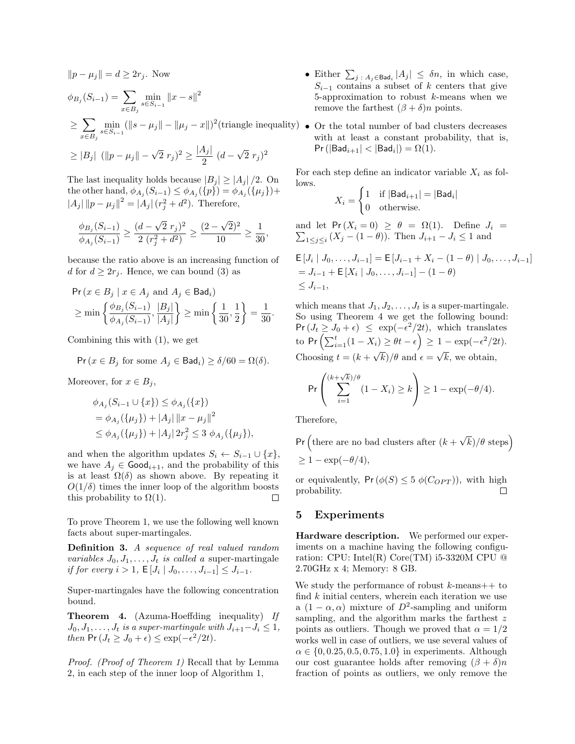$$
||p - \mu_j|| = d \ge 2r_j. \text{ Now}
$$
  
\n
$$
\phi_{B_j}(S_{i-1}) = \sum_{x \in B_j} \min_{s \in S_{i-1}} ||x - s||^2
$$
  
\n
$$
\ge \sum_{x \in B_j} \min_{s \in S_{i-1}} (||s - \mu_j|| - ||\mu_j - x||)^2 \text{(triangle inequality)}
$$
  
\n
$$
\ge |B_j| \ (||p - \mu_j|| - \sqrt{2} \ r_j)^2 \ge \frac{|A_j|}{2} (d - \sqrt{2} \ r_j)^2
$$

The last inequality holds because  $|B_i| \geq |A_i|/2$ . On the other hand,  $\phi_{A_j}(S_{i-1}) \leq \phi_{A_j}(\{p\}) = \phi_{A_j}(\{\mu_j\}) +$  $||A_j|| ||p - \mu_j||^2 = |A_j| (r_j^2 + d^2)$ . Therefore,

$$
\frac{\phi_{B_j}(S_{i-1})}{\phi_{A_j}(S_{i-1})} \ge \frac{(d-\sqrt{2}r_j)^2}{2(r_j^2+d^2)} \ge \frac{(2-\sqrt{2})^2}{10} \ge \frac{1}{30},
$$

because the ratio above is an increasing function of d for  $d \geq 2r_i$ . Hence, we can bound (3) as

$$
\Pr(x \in B_j \mid x \in A_j \text{ and } A_j \in \text{Bad}_i) \ge \min \left\{ \frac{\phi_{B_j}(S_{i-1})}{\phi_{A_j}(S_{i-1})}, \frac{|B_j|}{|A_j|} \right\} \ge \min \left\{ \frac{1}{30}, \frac{1}{2} \right\} = \frac{1}{30}.
$$

Combining this with (1), we get

$$
\Pr(x \in B_j \text{ for some } A_j \in \text{Bad}_i) \ge \delta/60 = \Omega(\delta).
$$

Moreover, for  $x \in B_j$ ,

$$
\phi_{A_j}(S_{i-1} \cup \{x\}) \le \phi_{A_j}(\{x\})
$$
  
=  $\phi_{A_j}(\{\mu_j\}) + |A_j| \|x - \mu_j\|^2$   
 $\le \phi_{A_j}(\{\mu_j\}) + |A_j| 2r_j^2 \le 3 \phi_{A_j}(\{\mu_j\}),$ 

and when the algorithm updates  $S_i \leftarrow S_{i-1} \cup \{x\},\$ we have  $A_j \in \text{Good}_{i+1}$ , and the probability of this is at least  $\Omega(\delta)$  as shown above. By repeating it  $O(1/\delta)$  times the inner loop of the algorithm boosts this probability to  $\Omega(1)$ .  $\Box$ 

To prove Theorem 1, we use the following well known facts about super-martingales.

Definition 3. A sequence of real valued random variables  $J_0, J_1, \ldots, J_t$  is called a super-martingale if for every  $i > 1$ ,  $\mathsf{E}[J_i | J_0, \ldots, J_{i-1}] \leq J_{i-1}$ .

Super-martingales have the following concentration bound.

Theorem 4. (Azuma-Hoeffding inequality) If  $J_0, J_1, \ldots, J_t$  is a super-martingale with  $J_{i+1}-J_i \leq 1$ , then  $Pr(J_t \geq J_0 + \epsilon) \leq \exp(-\epsilon^2/2t)$ .

Proof. (Proof of Theorem 1) Recall that by Lemma 2, in each step of the inner loop of Algorithm 1,

- Either  $\sum_{j \,:\, A_j \in \mathsf{Bad}_i} |A_j| \leq \delta n$ , in which case,  $S_{i-1}$  contains a subset of k centers that give 5-approximation to robust  $k$ -means when we remove the farthest  $(\beta + \delta)n$  points.
- $(v)$  Or the total number of bad clusters decreases with at least a constant probability, that is,  $Pr(|Bad_{i+1}| < |Bad_i|) = \Omega(1).$

For each step define an indicator variable  $X_i$  as follows.

$$
X_i = \begin{cases} 1 & \text{if } |\mathsf{Bad}_{i+1}| = |\mathsf{Bad}_{i}| \\ 0 & \text{otherwise.} \end{cases}
$$

and let  $Pr(X_i = 0) \ge \theta = \Omega(1)$ . Define  $J_i =$  $\sum_{1 \leq j \leq i} (X_j - (1 - \theta))$ . Then  $J_{i+1} - J_i \leq 1$  and

$$
\begin{aligned} & \mathsf{E}\left[J_i \mid J_0, \dots, J_{i-1}\right] = \mathsf{E}\left[J_{i-1} + X_i - (1 - \theta) \mid J_0, \dots, J_{i-1}\right] \\ &= J_{i-1} + \mathsf{E}\left[X_i \mid J_0, \dots, J_{i-1}\right] - (1 - \theta) \\ &\le J_{i-1}, \end{aligned}
$$

which means that  $J_1, J_2, \ldots, J_t$  is a super-martingale. So using Theorem 4 we get the following bound:  $Pr(J_t \geq J_0 + \epsilon) \leq exp(-\epsilon^2/2t)$ , which translates to Pr  $\left(\sum_{i=1}^t (1-X_i) \geq \theta t - \epsilon\right) \geq 1 - \exp(-\epsilon^2/2t).$ Choosing  $t = (k +$ √  $k)/\theta$  and  $\epsilon =$ √ k, we obtain,

$$
\Pr\left(\sum_{i=1}^{(k+\sqrt{k})/\theta} (1-X_i) \ge k\right) \ge 1 - \exp(-\theta/4).
$$

Therefore,

 $Pr$  (there are no bad clusters after  $(k +$  $\sqrt{k})/\theta$  steps)  $\geq 1 - \exp(-\theta/4),$ 

or equivalently,  $Pr(\phi(S) \leq 5 \phi(C_{OPT}))$ , with high probability.  $\Box$ 

#### 5 Experiments

Hardware description. We performed our experiments on a machine having the following configuration: CPU: Intel(R) Core(TM) i5-3320M CPU @ 2.70GHz x 4; Memory: 8 GB.

We study the performance of robust  $k$ -means++ to find  $k$  initial centers, wherein each iteration we use a  $(1 - \alpha, \alpha)$  mixture of  $D^2$ -sampling and uniform sampling, and the algorithm marks the farthest z points as outliers. Though we proved that  $\alpha = 1/2$ works well in case of outliers, we use several values of  $\alpha \in \{0, 0.25, 0.5, 0.75, 1.0\}$  in experiments. Although our cost guarantee holds after removing  $(\beta + \delta)n$ fraction of points as outliers, we only remove the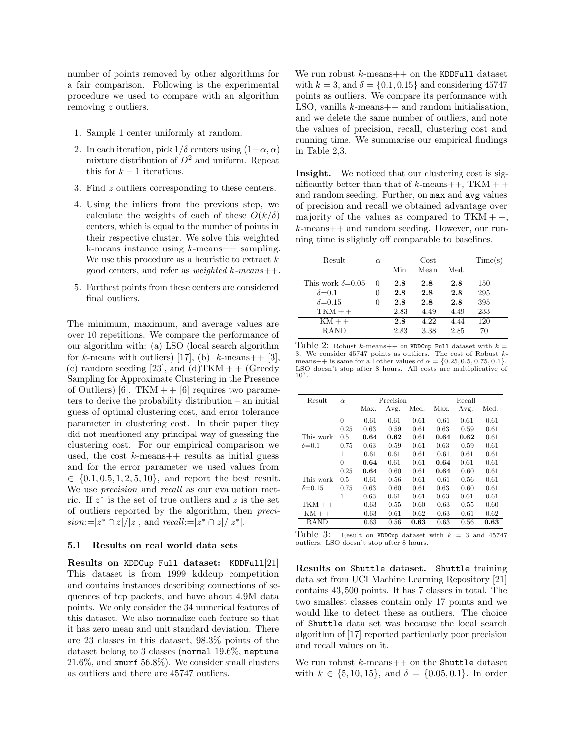number of points removed by other algorithms for a fair comparison. Following is the experimental procedure we used to compare with an algorithm removing z outliers.

- 1. Sample 1 center uniformly at random.
- 2. In each iteration, pick  $1/\delta$  centers using  $(1-\alpha, \alpha)$ mixture distribution of  $D^2$  and uniform. Repeat this for  $k-1$  iterations.
- 3. Find z outliers corresponding to these centers.
- 4. Using the inliers from the previous step, we calculate the weights of each of these  $O(k/\delta)$ centers, which is equal to the number of points in their respective cluster. We solve this weighted k-means instance using  $k$ -means++ sampling. We use this procedure as a heuristic to extract  $k$ good centers, and refer as *weighted*  $k$ -means++.
- 5. Farthest points from these centers are considered final outliers.

The minimum, maximum, and average values are over 10 repetitions. We compare the performance of our algorithm with: (a) LSO (local search algorithm for k-means with outliers) [17], (b) k-means++ [3], (c) random seeding [23], and (d)  $TKM + (Greedy)$ Sampling for Approximate Clustering in the Presence of Outliers) [6]. TKM  $++$  [6] requires two parameters to derive the probability distribution – an initial guess of optimal clustering cost, and error tolerance parameter in clustering cost. In their paper they did not mentioned any principal way of guessing the clustering cost. For our empirical comparison we used, the cost  $k$ -means  $+$  results as initial guess and for the error parameter we used values from  $\in \{0.1, 0.5, 1, 2, 5, 10\},\$ and report the best result. We use *precision* and *recall* as our evaluation metric. If  $z^*$  is the set of true outliers and z is the set of outliers reported by the algorithm, then preci $sion := |z^* \cap z|/|z|$ , and  $recall := |z^* \cap z|/|z^*|$ .

#### 5.1 Results on real world data sets

Results on KDDCup Full dataset: KDDFull[21] This dataset is from 1999 kddcup competition and contains instances describing connections of sequences of tcp packets, and have about 4.9M data points. We only consider the 34 numerical features of this dataset. We also normalize each feature so that it has zero mean and unit standard deviation. There are 23 classes in this dataset, 98.3% points of the dataset belong to 3 classes (normal 19.6%, neptune 21.6%, and smurf 56.8%). We consider small clusters as outliers and there are 45747 outliers.

We run robust  $k$ -means  $++$  on the KDDFull dataset with  $k = 3$ , and  $\delta = \{0.1, 0.15\}$  and considering 45747 points as outliers. We compare its performance with LSO, vanilla  $k$ -means  $++$  and random initialisation, and we delete the same number of outliers, and note the values of precision, recall, clustering cost and running time. We summarise our empirical findings in Table 2,3.

Insight. We noticed that our clustering cost is significantly better than that of  $k$ -means++, TKM + + and random seeding. Further, on max and avg values of precision and recall we obtained advantage over majority of the values as compared to  $TKM + +$ , k-means++ and random seeding. However, our running time is slightly off comparable to baselines.

| Result                    | $\alpha$ |      | Cost |      | Time(s) |
|---------------------------|----------|------|------|------|---------|
|                           |          | Min  | Mean | Med. |         |
| This work $\delta = 0.05$ | 0        | 2.8  | 2.8  | 2.8  | 150     |
| $\delta = 0.1$            | 0        | 2.8  | 2.8  | 2.8  | 295     |
| $\delta = 0.15$           | 0        | 2.8  | 2.8  | 2.8  | 395     |
| $TKM++$                   |          | 2.83 | 4.49 | 4.49 | 233     |
| $KM++$                    |          | 2.8  | 4.22 | 4.44 | 120     |
| <b>RAND</b>               |          | 2.83 | 3.38 | 2.85 | 70      |

Table 2: Robust k-means++ on KDDCup Full dataset with  $k =$ 3. We consider 45747 points as outliers. The cost of Robust kmeans++ is same for all other values of  $\alpha = \{0.25, 0.5, 0.75, 0.1\}.$ LSO doesn't stop after 8 hours. All costs are multiplicative of 10<sup>7</sup> .

| Result          | $\alpha$ |      | Precision |           | Recall |      |      |  |
|-----------------|----------|------|-----------|-----------|--------|------|------|--|
|                 |          | Max. | Avg.      | Med.      | Max.   | Avg. | Med. |  |
|                 | $\theta$ | 0.61 | 0.61      | 0.61      | 0.61   | 0.61 | 0.61 |  |
|                 | 0.25     | 0.63 | 0.59      | 0.61      | 0.63   | 0.59 | 0.61 |  |
| This work       | 0.5      | 0.64 | 0.62      | 0.61      | 0.64   | 0.62 | 0.61 |  |
| $\delta = 0.1$  | 0.75     | 0.63 | 0.59      | 0.61      | 0.63   | 0.59 | 0.61 |  |
|                 | 1        | 0.61 | 0.61      | 0.61      | 0.61   | 0.61 | 0.61 |  |
|                 | $\theta$ | 0.64 | 0.61      | 0.61      | 0.64   | 0.61 | 0.61 |  |
|                 | 0.25     | 0.64 | 0.60      | 0.61      | 0.64   | 0.60 | 0.61 |  |
| This work       | 0.5      | 0.61 | 0.56      | 0.61      | 0.61   | 0.56 | 0.61 |  |
| $\delta = 0.15$ | 0.75     | 0.63 | 0.60      | 0.61      | 0.63   | 0.60 | 0.61 |  |
|                 | 1        | 0.63 | 0.61      | $_{0.61}$ | 0.63   | 0.61 | 0.61 |  |
| $TKM++$         |          | 0.63 | 0.55      | 0.60      | 0.63   | 0.55 | 0.60 |  |
| $KM++$          |          | 0.63 | 0.61      | 0.62      | 0.63   | 0.61 | 0.62 |  |
| RAND            |          | 0.63 | 0.56      | 0.63      | 0.63   | 0.56 | 0.63 |  |

Table 3: Result on KDDCup dataset with  $k = 3$  and 45747 outliers. LSO doesn't stop after 8 hours.

Results on Shuttle dataset. Shuttle training data set from UCI Machine Learning Repository [21] contains 43, 500 points. It has 7 classes in total. The two smallest classes contain only 17 points and we would like to detect these as outliers. The choice of Shuttle data set was because the local search algorithm of [17] reported particularly poor precision and recall values on it.

We run robust  $k$ -means $++$  on the Shuttle dataset with  $k \in \{5, 10, 15\}$ , and  $\delta = \{0.05, 0.1\}$ . In order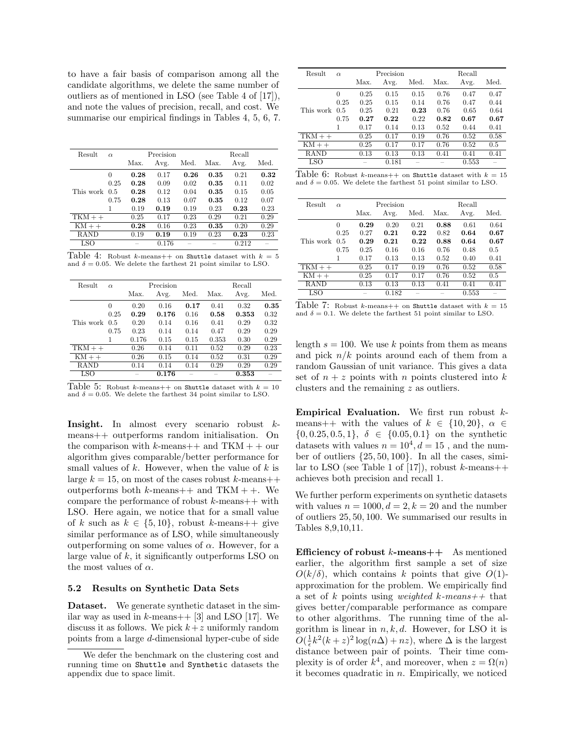to have a fair basis of comparison among all the candidate algorithms, we delete the same number of outliers as of mentioned in LSO (see Table 4 of [17]), and note the values of precision, recall, and cost. We summarise our empirical findings in Tables 4, 5, 6, 7.

| Result        | $\alpha$ |      | Precision |      | Recall |       |      |  |
|---------------|----------|------|-----------|------|--------|-------|------|--|
|               |          | Max. | Avg.      | Med. | Max.   | Avg.  | Med. |  |
|               | 0        | 0.28 | 0.17      | 0.26 | 0.35   | 0.21  | 0.32 |  |
|               | 0.25     | 0.28 | 0.09      | 0.02 | 0.35   | 0.11  | 0.02 |  |
| This work 0.5 |          | 0.28 | 0.12      | 0.04 | 0.35   | 0.15  | 0.05 |  |
|               | 0.75     | 0.28 | 0.13      | 0.07 | 0.35   | 0.12  | 0.07 |  |
|               | 1        | 0.19 | 0.19      | 0.19 | 0.23   | 0.23  | 0.23 |  |
| $TKM++$       |          | 0.25 | 0.17      | 0.23 | 0.29   | 0.21  | 0.29 |  |
| $KM++$        |          | 0.28 | 0.16      | 0.23 | 0.35   | 0.20  | 0.29 |  |
| <b>RAND</b>   |          | 0.19 | 0.19      | 0.19 | 0.23   | 0.23  | 0.23 |  |
| LSO           |          |      | 0.176     |      |        | 0.212 |      |  |

Table 4: Robust k-means++ on Shuttle dataset with  $k = 5$ and  $\delta = 0.05$ . We delete the farthest 21 point similar to LSO.

| Result        | $\alpha$ |       | Precision |      | Recall |       |      |  |
|---------------|----------|-------|-----------|------|--------|-------|------|--|
|               |          | Max.  | Avg.      | Med. | Max.   | Avg.  | Med. |  |
|               | 0        | 0.20  | 0.16      | 0.17 | 0.41   | 0.32  | 0.35 |  |
|               | 0.25     | 0.29  | 0.176     | 0.16 | 0.58   | 0.353 | 0.32 |  |
| This work 0.5 |          | 0.20  | 0.14      | 0.16 | 0.41   | 0.29  | 0.32 |  |
|               | 0.75     | 0.23  | 0.14      | 0.14 | 0.47   | 0.29  | 0.29 |  |
|               | 1        | 0.176 | 0.15      | 0.15 | 0.353  | 0.30  | 0.29 |  |
| $TKM++$       |          | 0.26  | 0.14      | 0.11 | 0.52   | 0.29  | 0.23 |  |
| $KM++$        |          | 0.26  | 0.15      | 0.14 | 0.52   | 0.31  | 0.29 |  |
| RAND          |          | 0.14  | 0.14      | 0.14 | 0.29   | 0.29  | 0.29 |  |
| LSO           |          |       | 0.176     |      |        | 0.353 |      |  |

Table 5: Robust k-means++ on Shuttle dataset with  $k = 10$ and  $\delta = 0.05$ . We delete the farthest 34 point similar to LSO.

Insight. In almost every scenario robust kmeans++ outperforms random initialisation. On the comparison with k-means++ and  $TKM + +$  our algorithm gives comparable/better performance for small values of  $k$ . However, when the value of  $k$  is large  $k = 15$ , on most of the cases robust k-means++ outperforms both  $k$ -means++ and TKM + +. We compare the performance of robust  $k$ -means++ with LSO. Here again, we notice that for a small value of k such as  $k \in \{5, 10\}$ , robust k-means++ give similar performance as of LSO, while simultaneously outperforming on some values of  $\alpha$ . However, for a large value of  $k$ , it significantly outperforms LSO on the most values of  $\alpha$ .

## 5.2 Results on Synthetic Data Sets

Dataset. We generate synthetic dataset in the similar way as used in  $k$ -means++ [3] and LSO [17]. We discuss it as follows. We pick  $k+z$  uniformly random points from a large d-dimensional hyper-cube of side

| Result        | $\alpha$ |      | Precision |      | Recall |       |      |  |
|---------------|----------|------|-----------|------|--------|-------|------|--|
|               |          | Max. | Avg.      | Med. | Max.   | Avg.  | Med. |  |
|               | 0        | 0.25 | 0.15      | 0.15 | 0.76   | 0.47  | 0.47 |  |
|               | 0.25     | 0.25 | 0.15      | 0.14 | 0.76   | 0.47  | 0.44 |  |
| This work 0.5 |          | 0.25 | 0.21      | 0.23 | 0.76   | 0.65  | 0.64 |  |
|               | 0.75     | 0.27 | 0.22      | 0.22 | 0.82   | 0.67  | 0.67 |  |
|               | 1        | 0.17 | 0.14      | 0.13 | 0.52   | 0.44  | 0.41 |  |
| $TKM++$       |          | 0.25 | 0.17      | 0.19 | 0.76   | 0.52  | 0.58 |  |
| $KM++$        |          | 0.25 | 0.17      | 0.17 | 0.76   | 0.52  | 0.5  |  |
| RAND          |          | 0.13 | 0.13      | 0.13 | 0.41   | 0.41  | 0.41 |  |
| LSO           |          |      | 0.181     |      |        | 0.553 |      |  |

| Table 6: Robust k-means++ on Shuttle dataset with $k = 15$            |  |
|-----------------------------------------------------------------------|--|
| and $\delta = 0.05$ . We delete the farthest 51 point similar to LSO. |  |

| Result        | $\alpha$ |      | Precision |      | Recall |       |      |  |
|---------------|----------|------|-----------|------|--------|-------|------|--|
|               |          | Max. | Avg.      | Med. | Max.   | Avg.  | Med. |  |
|               | $\Omega$ | 0.29 | 0.20      | 0.21 | 0.88   | 0.61  | 0.64 |  |
|               | 0.25     | 0.27 | 0.21      | 0.22 | 0.82   | 0.64  | 0.67 |  |
| This work 0.5 |          | 0.29 | 0.21      | 0.22 | 0.88   | 0.64  | 0.67 |  |
|               | 0.75     | 0.25 | 0.16      | 0.16 | 0.76   | 0.48  | 0.5  |  |
|               | 1        | 0.17 | 0.13      | 0.13 | 0.52   | 0.40  | 0.41 |  |
| $TKM++$       |          | 0.25 | 0.17      | 0.19 | 0.76   | 0.52  | 0.58 |  |
| $KM++$        |          | 0.25 | 0.17      | 0.17 | 0.76   | 0.52  | 0.5  |  |
| RAND          |          | 0.13 | 0.13      | 0.13 | 0.41   | 0.41  | 0.41 |  |
| LSO           |          |      | 0.182     |      |        | 0.553 |      |  |

| Table 7: Robust k-means++ on Shuttle dataset with $k = 15$           |  |  |  |  |
|----------------------------------------------------------------------|--|--|--|--|
| and $\delta = 0.1$ . We delete the farthest 51 point similar to LSO. |  |  |  |  |

length  $s = 100$ . We use k points from them as means and pick  $n/k$  points around each of them from a random Gaussian of unit variance. This gives a data set of  $n + z$  points with n points clustered into k clusters and the remaining z as outliers.

**Empirical Evaluation.** We first run robust  $k$ means++ with the values of  $k \in \{10, 20\}, \alpha \in$  $\{0, 0.25, 0.5, 1\}, \delta \in \{0.05, 0.1\}$  on the synthetic datasets with values  $n = 10^4, d = 15$ , and the number of outliers  $\{25, 50, 100\}$ . In all the cases, similar to LSO (see Table 1 of [17]), robust k-means++ achieves both precision and recall 1.

We further perform experiments on synthetic datasets with values  $n = 1000, d = 2, k = 20$  and the number of outliers 25, 50, 100. We summarised our results in Tables 8,9,10,11.

Efficiency of robust  $k$ -means $++$  As mentioned earlier, the algorithm first sample a set of size  $O(k/\delta)$ , which contains k points that give  $O(1)$ approximation for the problem. We empirically find a set of k points using *weighted* k-means++ that gives better/comparable performance as compare to other algorithms. The running time of the algorithm is linear in  $n, k, d$ . However, for LSO it is  $O(\frac{1}{\epsilon}k^2(k+z)^2\log(n\Delta)+nz)$ , where  $\Delta$  is the largest distance between pair of points. Their time complexity is of order  $k^4$ , and moreover, when  $z = \Omega(n)$ it becomes quadratic in  $n$ . Empirically, we noticed

We defer the benchmark on the clustering cost and running time on Shuttle and Synthetic datasets the appendix due to space limit.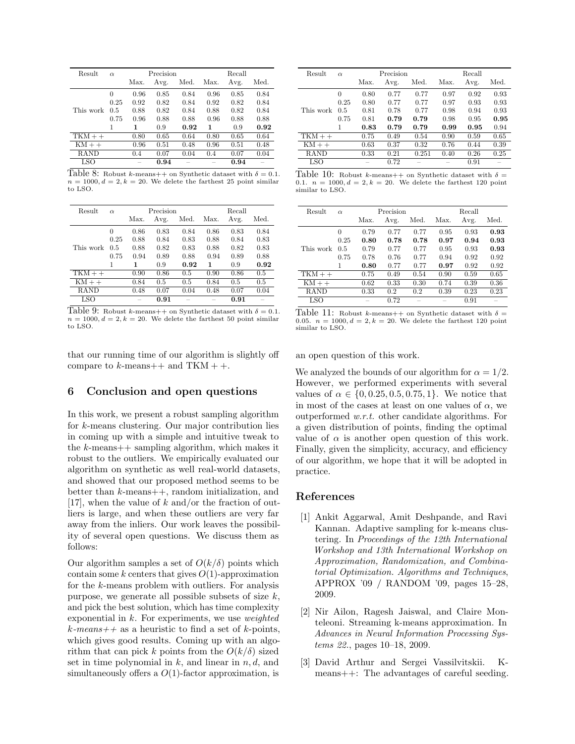| Result      | $\alpha$ |      | Precision |      | Recall |      |      |  |
|-------------|----------|------|-----------|------|--------|------|------|--|
|             |          | Max. | Avg.      | Med. | Max.   | Avg. | Med. |  |
|             | $\theta$ | 0.96 | 0.85      | 0.84 | 0.96   | 0.85 | 0.84 |  |
|             | 0.25     | 0.92 | 0.82      | 0.84 | 0.92   | 0.82 | 0.84 |  |
| This work   | 0.5      | 0.88 | 0.82      | 0.84 | 0.88   | 0.82 | 0.84 |  |
|             | 0.75     | 0.96 | 0.88      | 0.88 | 0.96   | 0.88 | 0.88 |  |
|             | 1        | 1    | 0.9       | 0.92 | 1      | 0.9  | 0.92 |  |
| $TKM++$     |          | 0.80 | 0.65      | 0.64 | 0.80   | 0.65 | 0.64 |  |
| $KM++$      |          | 0.96 | 0.51      | 0.48 | 0.96   | 0.51 | 0.48 |  |
| <b>RAND</b> |          | 0.4  | 0.07      | 0.04 | 0.4    | 0.07 | 0.04 |  |
| LSO         |          |      | 0.94      |      |        | 0.94 |      |  |

Table 8: Robust k-means++ on Synthetic dataset with  $\delta = 0.1$ .  $n = 1000, d = 2, k = 20$ . We delete the farthest 25 point similar to LSO.

| Result      | $\alpha$ |      | Precision |      |      | Recall |      |
|-------------|----------|------|-----------|------|------|--------|------|
|             |          | Max. | Avg.      | Med. | Max. | Avg.   | Med. |
|             | $\theta$ | 0.86 | 0.83      | 0.84 | 0.86 | 0.83   | 0.84 |
|             | 0.25     | 0.88 | 0.84      | 0.83 | 0.88 | 0.84   | 0.83 |
| This work   | 0.5      | 0.88 | 0.82      | 0.83 | 0.88 | 0.82   | 0.83 |
|             | 0.75     | 0.94 | 0.89      | 0.88 | 0.94 | 0.89   | 0.88 |
|             |          | 1    | 0.9       | 0.92 | 1    | 0.9    | 0.92 |
| $TKM++$     |          | 0.90 | 0.86      | 0.5  | 0.90 | 0.86   | 0.5  |
| $KM++$      |          | 0.84 | 0.5       | 0.5  | 0.84 | 0.5    | 0.5  |
| <b>RAND</b> |          | 0.48 | 0.07      | 0.04 | 0.48 | 0.07   | 0.04 |
| LSO         |          |      | 0.91      |      |      | 0.91   |      |

Table 9: Robust k-means++ on Synthetic dataset with  $\delta = 0.1$ .  $n = 1000, d = 2, k = 20$ . We delete the farthest 50 point similar to LSO.

that our running time of our algorithm is slightly off compare to  $k$ -means++ and TKM + +.

### 6 Conclusion and open questions

In this work, we present a robust sampling algorithm for k-means clustering. Our major contribution lies in coming up with a simple and intuitive tweak to the k-means++ sampling algorithm, which makes it robust to the outliers. We empirically evaluated our algorithm on synthetic as well real-world datasets, and showed that our proposed method seems to be better than k-means++, random initialization, and [17], when the value of k and/or the fraction of outliers is large, and when these outliers are very far away from the inliers. Our work leaves the possibility of several open questions. We discuss them as follows:

Our algorithm samples a set of  $O(k/\delta)$  points which contain some k centers that gives  $O(1)$ -approximation for the k-means problem with outliers. For analysis purpose, we generate all possible subsets of size  $k$ , and pick the best solution, which has time complexity exponential in  $k$ . For experiments, we use *weighted*  $k$ -means + + as a heuristic to find a set of k-points, which gives good results. Coming up with an algorithm that can pick k points from the  $O(k/\delta)$  sized set in time polynomial in  $k$ , and linear in  $n, d$ , and simultaneously offers a  $O(1)$ -factor approximation, is

| Result    | $\alpha$ |      | Precision |       |      | Recall |      |
|-----------|----------|------|-----------|-------|------|--------|------|
|           |          | Max. | Avg.      | Med.  | Max. | Avg.   | Med. |
|           | $\theta$ | 0.80 | 0.77      | 0.77  | 0.97 | 0.92   | 0.93 |
|           | 0.25     | 0.80 | 0.77      | 0.77  | 0.97 | 0.93   | 0.93 |
| This work | 0.5      | 0.81 | 0.78      | 0.77  | 0.98 | 0.94   | 0.93 |
|           | 0.75     | 0.81 | 0.79      | 0.79  | 0.98 | 0.95   | 0.95 |
|           | 1        | 0.83 | 0.79      | 0.79  | 0.99 | 0.95   | 0.94 |
| $TKM++$   |          | 0.75 | 0.49      | 0.54  | 0.90 | 0.59   | 0.65 |
| $KM++$    |          | 0.63 | 0.37      | 0.32  | 0.76 | 0.44   | 0.39 |
| RAND      |          | 0.33 | 0.21      | 0.251 | 0.40 | 0.26   | 0.25 |
| LSO       |          |      | 0.72      |       |      | 0.91   |      |

Table 10: Robust k-means++ on Synthetic dataset with  $\delta = 0.1$ .  $n = 1000, d = 2, k = 20$ . We delete the farthest 120 point similar to LSO.

| Result      | $\alpha$ | Precision |      |      | Recall |      |      |
|-------------|----------|-----------|------|------|--------|------|------|
|             |          | Max.      | Avg. | Med. | Max.   | Avg. | Med. |
| This work   | $\Omega$ | 0.79      | 0.77 | 0.77 | 0.95   | 0.93 | 0.93 |
|             | 0.25     | 0.80      | 0.78 | 0.78 | 0.97   | 0.94 | 0.93 |
|             | 0.5      | 0.79      | 0.77 | 0.77 | 0.95   | 0.93 | 0.93 |
|             | 0.75     | 0.78      | 0.76 | 0.77 | 0.94   | 0.92 | 0.92 |
|             | 1        | 0.80      | 0.77 | 0.77 | 0.97   | 0.92 | 0.92 |
| $TKM++$     |          | 0.75      | 0.49 | 0.54 | 0.90   | 0.59 | 0.65 |
| $KM++$      |          | 0.62      | 0.33 | 0.30 | 0.74   | 0.39 | 0.36 |
| <b>RAND</b> |          | 0.33      | 0.2  | 0.2  | 0.39   | 0.23 | 0.23 |
| <b>LSO</b>  |          |           | 0.72 |      |        | 0.91 |      |

Table 11: Robust k-means++ on Synthetic dataset with  $\delta =$ 0.05.  $n = 1000, d = 2, k = 20$ . We delete the farthest 120 point similar to LSO.

an open question of this work.

We analyzed the bounds of our algorithm for  $\alpha = 1/2$ . However, we performed experiments with several values of  $\alpha \in \{0, 0.25, 0.5, 0.75, 1\}$ . We notice that in most of the cases at least on one values of  $\alpha$ , we outperformed w.r.t. other candidate algorithms. For a given distribution of points, finding the optimal value of  $\alpha$  is another open question of this work. Finally, given the simplicity, accuracy, and efficiency of our algorithm, we hope that it will be adopted in practice.

### References

- [1] Ankit Aggarwal, Amit Deshpande, and Ravi Kannan. Adaptive sampling for k-means clustering. In Proceedings of the 12th International Workshop and 13th International Workshop on Approximation, Randomization, and Combinatorial Optimization. Algorithms and Techniques, APPROX '09 / RANDOM '09, pages 15–28, 2009.
- [2] Nir Ailon, Ragesh Jaiswal, and Claire Monteleoni. Streaming k-means approximation. In Advances in Neural Information Processing Systems 22., pages 10–18, 2009.
- [3] David Arthur and Sergei Vassilvitskii. Kmeans++: The advantages of careful seeding.